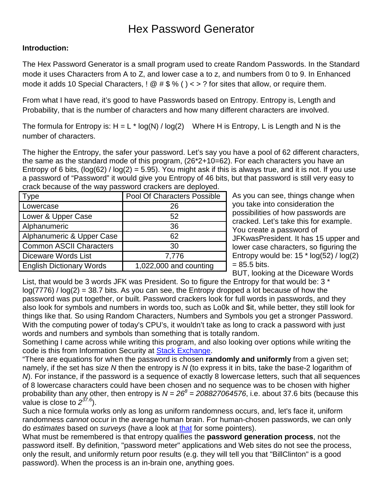## Hex Password Generator

## **Introduction:**

The Hex Password Generator is a small program used to create Random Passwords. In the Standard mode it uses Characters from A to Z, and lower case a to z, and numbers from 0 to 9. In Enhanced mode it adds 10 Special Characters,  $\frac{1}{2} \otimes \frac{1}{2} \times \frac{1}{2}$  for sites that allow, or require them.

From what I have read, it's good to have Passwords based on Entropy. Entropy is, Length and Probability, that is the number of characters and how many different characters are involved.

The formula for Entropy is:  $H = L * log(N) / log(2)$  Where H is Entropy, L is Length and N is the number of characters.

The higher the Entropy, the safer your password. Let's say you have a pool of 62 different characters, the same as the standard mode of this program, (26\*2+10=62). For each characters you have an Entropy of 6 bits,  $log(62) / log(2) = 5.95)$ . You might ask if this is always true, and it is not. If you use a password of "Password" it would give you Entropy of 46 bits, but that password is still very easy to crack because of the way password crackers are deployed.

| Type                            | Pool Of Characters Possible |
|---------------------------------|-----------------------------|
| Lowercase                       | 26                          |
| Lower & Upper Case              | 52                          |
| Alphanumeric                    | 36                          |
| Alphanumeric & Upper Case       | 62                          |
| <b>Common ASCII Characters</b>  | 30                          |
| Diceware Words List             | 7,776                       |
| <b>English Dictionary Words</b> | 1,022,000 and counting      |

As you can see, things change when you take into consideration the possibilities of how passwords are cracked. Let's take this for example. You create a password of JFKwasPresident. It has 15 upper and lower case characters, so figuring the Entropy would be:  $15 * log(52) / log(2)$  $= 85.5$  bits.

BUT, looking at the Diceware Words

List, that would be 3 words JFK was President. So to figure the Entropy for that would be: 3 \*  $log(7776)$  /  $log(2) = 38.7$  bits. As you can see, the Entropy dropped a lot because of how the password was put together, or built. Password crackers look for full words in passwords, and they also look for symbols and numbers in words too, such as Lo0k and \$it, while better, they still look for things like that. So using Random Characters, Numbers and Symbols you get a stronger Password. With the computing power of today's CPU's, it wouldn't take as long to crack a password with just words and numbers and symbols than something that is totally random.

Something I came across while writing this program, and also looking over options while writing the code is this from Information Security at [Stack Exchange.](http://security.stackexchange.com/questions/21050/calculating-password-entropy)

"There are equations for when the password is chosen **randomly and uniformly** from a given set; namely, if the set has size *N* then the entropy is *N* (to express it in bits, take the base-2 logarithm of *N*). For instance, if the password is a sequence of exactly 8 lowercase letters, such that all sequences of 8 lowercase characters could have been chosen and no sequence was to be chosen with higher probability than any other, then entropy is  $N = 26^8 = 208827064576$ , i.e. about 37.6 bits (because this value is close to *237.6*).

Such a nice formula works only as long as uniform randomness occurs, and, let's face it, uniform randomness *cannot* occur in the average human brain. For human-chosen passwords, we can only do *estimates* based on *surveys* (have a look at [that](http://www.schneier.com/blog/archives/2006/12/realworld_passw.html) for some pointers).

What must be remembered is that entropy qualifies the **password generation process**, not the password itself. By definition, "password meter" applications and Web sites do not see the process, only the result, and uniformly return poor results (e.g. they will tell you that "BillClinton" is a good password). When the process is an in-brain one, anything goes.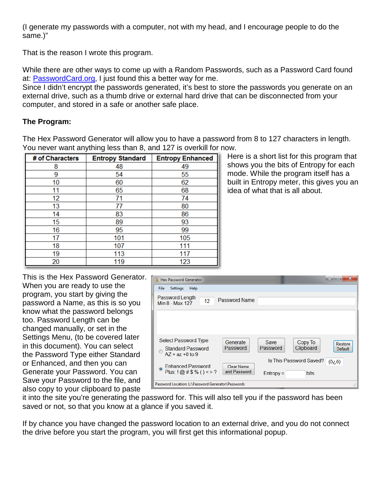(I generate my passwords with a computer, not with my head, and I encourage people to do the same.)"

That is the reason I wrote this program.

While there are other ways to come up with a Random Passwords, such as a Password Card found at: **PasswordCard.org**, I just found this a better way for me.

Since I didn't encrypt the passwords generated, it's best to store the passwords you generate on an external drive, such as a thumb drive or external hard drive that can be disconnected from your computer, and stored in a safe or another safe place.

## **The Program:**

The Hex Password Generator will allow you to have a password from 8 to 127 characters in length. You never want anything less than 8, and 127 is overkill for now.

| # of Characters | <b>Entropy Standard</b> | <b>Entropy Enhanced</b> |
|-----------------|-------------------------|-------------------------|
| 8               | 48                      | 49                      |
| 9               | 54                      | 55                      |
| 10              | 60                      | 62                      |
| 11              | 65                      | 68                      |
| 12              | 71                      | 74                      |
| 13              | 77                      | 80                      |
| 14              | 83                      | 86                      |
| 15              | 89                      | 93                      |
| 16              | 95                      | 99                      |
| 17              | 101                     | 105                     |
| 18              | 107                     | 111                     |
| 19              | 113                     | 117                     |
| 20              | 119                     | 123                     |

Here is a short list for this program that shows you the bits of Entropy for each mode. While the program itself has a built in Entropy meter, this gives you an idea of what that is all about.

This is the Hex Password Generator. When you are ready to use the program, you start by giving the password a Name, as this is so you know what the password belongs too. Password Length can be changed manually, or set in the Settings Menu, (to be covered later in this document). You can select the Password Type either Standard or Enhanced, and then you can Generate your Password. You can Save your Password to the file, and also copy to your clipboard to paste

| <b>A. Hex Password Generator</b>                        |                      |                         |                         | $\mathbf x$        |
|---------------------------------------------------------|----------------------|-------------------------|-------------------------|--------------------|
| <b>Settings</b><br>Help<br><b>File</b>                  |                      |                         |                         |                    |
| Password Length<br>12<br>Min 8 - Max 127                | <b>Password Name</b> |                         |                         |                    |
|                                                         |                      |                         |                         |                    |
| Select Password Type                                    |                      |                         |                         |                    |
| <b>Standard Password</b><br>$A7 + a7 + 0$ to 9          | Generate<br>Password | <b>Save</b><br>Password | Copy To<br>Clipboard    | Restore<br>Default |
| <b>Enhanced Password</b>                                | <b>Clear Name</b>    |                         | Is This Password Saved? | (6, 6)             |
| $\circledcirc$<br>Plus: $\frac{1}{2}$ @ # \$ % () < > ? | and Password         | $Entropy =$             | <b>bits</b>             |                    |
| Password Location: L:\Password Generator\Passwords      |                      |                         |                         |                    |

it into the site you're generating the password for. This will also tell you if the password has been saved or not, so that you know at a glance if you saved it.

If by chance you have changed the password location to an external drive, and you do not connect the drive before you start the program, you will first get this informational popup.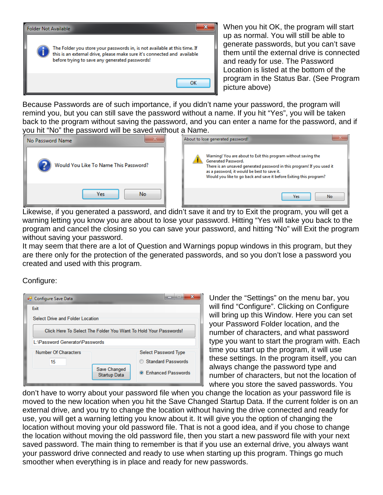

When you hit OK, the program will start up as normal. You will still be able to generate passwords, but you can't save them until the external drive is connected and ready for use. The Password Location is listed at the bottom of the program in the Status Bar. (See Program picture above)

Because Passwords are of such importance, if you didn't name your password, the program will remind you, but you can still save the password without a name. If you hit "Yes", you will be taken back to the program without saving the password, and you can enter a name for the password, and if you hit "No" the password will be saved without a Name.



 Likewise, if you generated a password, and didn't save it and try to Exit the program, you will get a warning letting you know you are about to lose your password. Hitting "Yes will take you back to the program and cancel the closing so you can save your password, and hitting "No" will Exit the program without saving your password.

It may seem that there are a lot of Question and Warnings popup windows in this program, but they are there only for the protection of the generated passwords, and so you don't lose a password you created and used with this program.

Configure:

| <b>a</b> Configure Save Data                                     |                                     |                             |  |  |
|------------------------------------------------------------------|-------------------------------------|-----------------------------|--|--|
| Exit                                                             |                                     |                             |  |  |
| Select Drive and Folder Location                                 |                                     |                             |  |  |
| Click Here To Select The Folder You Want To Hold Your Passwords! |                                     |                             |  |  |
| L:\Password Generator\Passwords                                  |                                     |                             |  |  |
| Number Of Characters                                             |                                     | <b>Select Password Type</b> |  |  |
| 15                                                               |                                     | Standard Passwords          |  |  |
|                                                                  | Save Changed<br><b>Startup Data</b> | <b>C</b> Enhanced Passwords |  |  |

Under the "Settings" on the menu bar, you will find "Configure". Clicking on Configure will bring up this Window. Here you can set your Password Folder location, and the number of characters, and what password type you want to start the program with. Each time you start up the program, it will use these settings. In the program itself, you can always change the password type and number of characters, but not the location of where you store the saved passwords. You

don't have to worry about your password file when you change the location as your password file is moved to the new location when you hit the Save Changed Startup Data. If the current folder is on an external drive, and you try to change the location without having the drive connected and ready for use, you will get a warning letting you know about it. It will give you the option of changing the location without moving your old password file. That is not a good idea, and if you chose to change the location without moving the old password file, then you start a new password file with your next saved password. The main thing to remember is that if you use an external drive, you always want your password drive connected and ready to use when starting up this program. Things go much smoother when everything is in place and ready for new passwords.